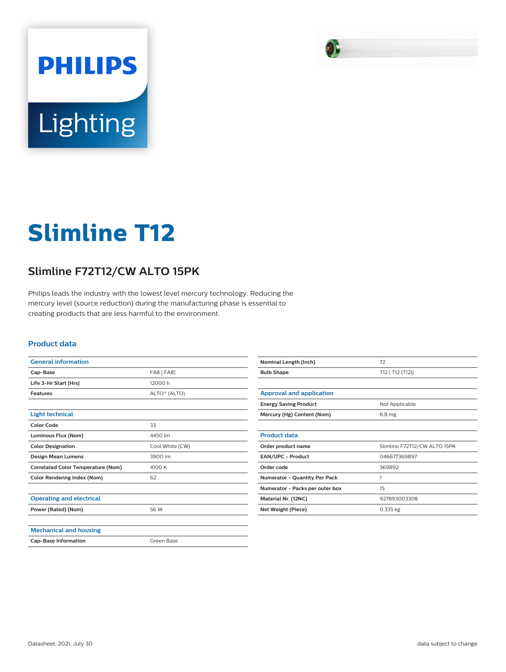

# Lighting

**PHILIPS** 

# **Slimline T12**

## **Slimline F72T12/CW ALTO 15PK**

Philips leads the industry with the lowest level mercury technology. Reducing the mercury level (source reduction) during the manufacturing phase is essential to creating products that are less harmful to the environment.

### **Product data**

| <b>General information</b>                |                          |
|-------------------------------------------|--------------------------|
| Cap-Base                                  | <b>FA8 [ FA8]</b>        |
| Life 3-Hr Start [Hrs]                     | 12000 h                  |
| <b>Features</b>                           | ALTO <sup>®</sup> (ALTO) |
|                                           |                          |
| <b>Light technical</b>                    |                          |
| <b>Color Code</b>                         | 33                       |
| Luminous Flux (Nom)                       | 4450 lm                  |
| <b>Color Designation</b>                  | Cool White (CW)          |
| <b>Design Mean Lumens</b>                 | 3900 lm                  |
| <b>Correlated Color Temperature (Nom)</b> | 4100 K                   |
| <b>Color Rendering Index (Nom)</b>        | 62                       |
|                                           |                          |
| <b>Operating and electrical</b>           |                          |
| Power (Rated) (Nom)                       | 56 W                     |
|                                           |                          |
| <b>Mechanical and housing</b>             |                          |
| <b>Cap-Base Information</b>               | Green Base               |

| Nominal Length (Inch)                | 72                           |
|--------------------------------------|------------------------------|
| <b>Bulb Shape</b>                    | T12 [ T12 (T12)]             |
|                                      |                              |
| Approval and application             |                              |
| <b>Energy Saving Product</b>         | Not Applicable               |
| Mercury (Hg) Content (Nom)           | 6.8 <sub>mg</sub>            |
|                                      |                              |
| <b>Product data</b>                  |                              |
| Order product name                   | Slimline F72T12/CW ALTO 15PK |
| <b>EAN/UPC - Product</b>             | 046677369897                 |
| Order code                           | 369892                       |
| <b>Numerator - Quantity Per Pack</b> | 1                            |
| Numerator - Packs per outer box      | 15                           |
| Material Nr. (12NC)                  | 927893003308                 |
| Net Weight (Piece)                   | $0.335$ kg                   |
|                                      |                              |